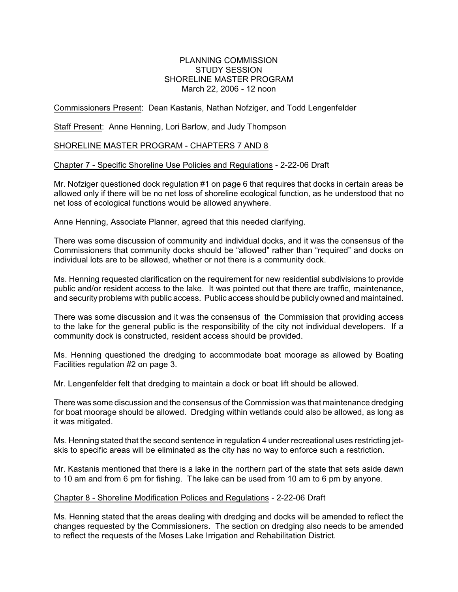# PLANNING COMMISSION STUDY SESSION SHORELINE MASTER PROGRAM March 22, 2006 - 12 noon

# Commissioners Present: Dean Kastanis, Nathan Nofziger, and Todd Lengenfelder

Staff Present: Anne Henning, Lori Barlow, and Judy Thompson

# SHORELINE MASTER PROGRAM - CHAPTERS 7 AND 8

# Chapter 7 - Specific Shoreline Use Policies and Regulations - 2-22-06 Draft

Mr. Nofziger questioned dock regulation #1 on page 6 that requires that docks in certain areas be allowed only if there will be no net loss of shoreline ecological function, as he understood that no net loss of ecological functions would be allowed anywhere.

Anne Henning, Associate Planner, agreed that this needed clarifying.

There was some discussion of community and individual docks, and it was the consensus of the Commissioners that community docks should be "allowed" rather than "required" and docks on individual lots are to be allowed, whether or not there is a community dock.

Ms. Henning requested clarification on the requirement for new residential subdivisions to provide public and/or resident access to the lake. It was pointed out that there are traffic, maintenance, and security problems with public access. Public access should be publicly owned and maintained.

There was some discussion and it was the consensus of the Commission that providing access to the lake for the general public is the responsibility of the city not individual developers. If a community dock is constructed, resident access should be provided.

Ms. Henning questioned the dredging to accommodate boat moorage as allowed by Boating Facilities regulation #2 on page 3.

Mr. Lengenfelder felt that dredging to maintain a dock or boat lift should be allowed.

There was some discussion and the consensus of the Commission was that maintenance dredging for boat moorage should be allowed. Dredging within wetlands could also be allowed, as long as it was mitigated.

Ms. Henning stated that the second sentence in regulation 4 under recreational uses restricting jetskis to specific areas will be eliminated as the city has no way to enforce such a restriction.

Mr. Kastanis mentioned that there is a lake in the northern part of the state that sets aside dawn to 10 am and from 6 pm for fishing. The lake can be used from 10 am to 6 pm by anyone.

### Chapter 8 - Shoreline Modification Polices and Regulations - 2-22-06 Draft

Ms. Henning stated that the areas dealing with dredging and docks will be amended to reflect the changes requested by the Commissioners. The section on dredging also needs to be amended to reflect the requests of the Moses Lake Irrigation and Rehabilitation District.